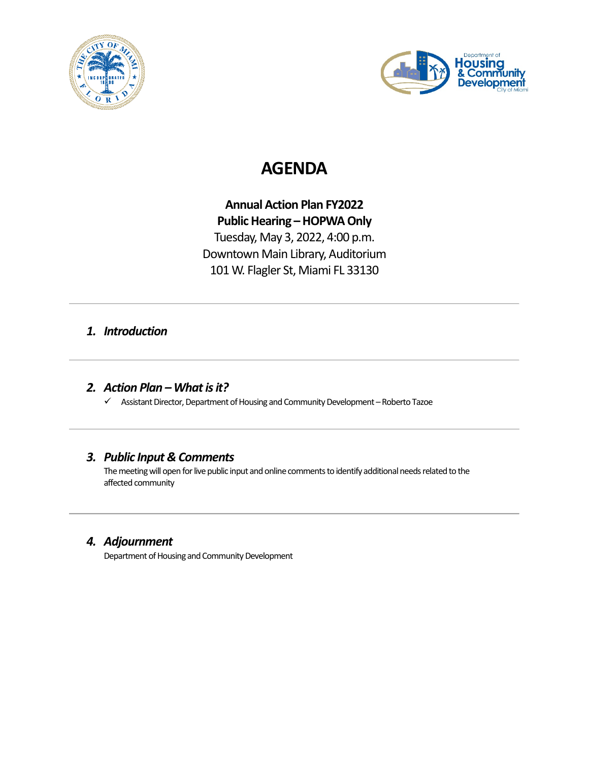



# **AGENDA**

## **Annual Action Plan FY2022 Public Hearing – HOPWA Only** Tuesday, May 3, 2022, 4:00 p.m. Downtown Main Library, Auditorium 101 W. Flagler St, Miami FL 33130

## *1. Introduction*

*2. Action Plan –What is it?*

 $\checkmark$  Assistant Director, Department of Housing and Community Development – Roberto Tazoe

## *3. Public Input & Comments*

The meeting will open for live public input and online comments to identify additional needs related to the affected community

## *4. Adjournment*

Department of Housing and Community Development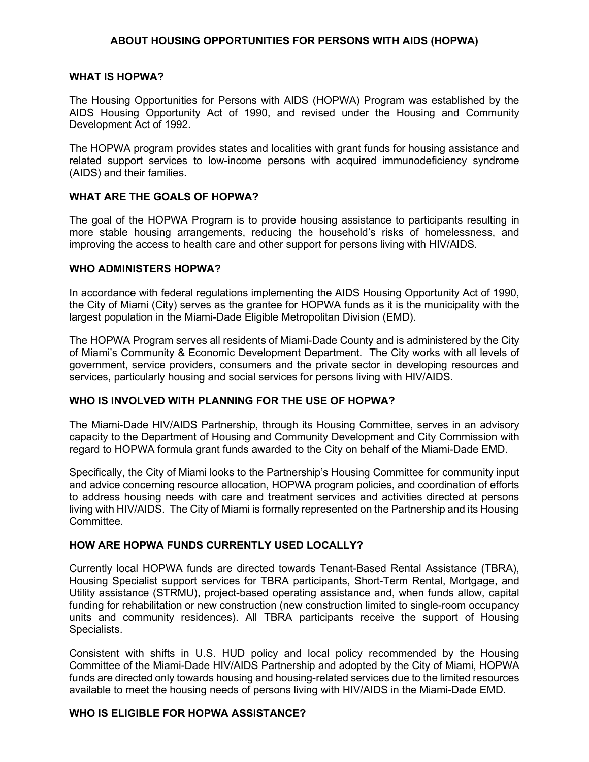#### **ABOUT HOUSING OPPORTUNITIES FOR PERSONS WITH AIDS (HOPWA)**

#### **WHAT IS HOPWA?**

The Housing Opportunities for Persons with AIDS (HOPWA) Program was established by the AIDS Housing Opportunity Act of 1990, and revised under the Housing and Community Development Act of 1992.

The HOPWA program provides states and localities with grant funds for housing assistance and related support services to low-income persons with acquired immunodeficiency syndrome (AIDS) and their families.

#### **WHAT ARE THE GOALS OF HOPWA?**

The goal of the HOPWA Program is to provide housing assistance to participants resulting in more stable housing arrangements, reducing the household's risks of homelessness, and improving the access to health care and other support for persons living with HIV/AIDS.

#### **WHO ADMINISTERS HOPWA?**

In accordance with federal regulations implementing the AIDS Housing Opportunity Act of 1990, the City of Miami (City) serves as the grantee for HOPWA funds as it is the municipality with the largest population in the Miami-Dade Eligible Metropolitan Division (EMD).

The HOPWA Program serves all residents of Miami-Dade County and is administered by the City of Miami's Community & Economic Development Department. The City works with all levels of government, service providers, consumers and the private sector in developing resources and services, particularly housing and social services for persons living with HIV/AIDS.

#### **WHO IS INVOLVED WITH PLANNING FOR THE USE OF HOPWA?**

The Miami-Dade HIV/AIDS Partnership, through its Housing Committee, serves in an advisory capacity to the Department of Housing and Community Development and City Commission with regard to HOPWA formula grant funds awarded to the City on behalf of the Miami-Dade EMD.

Specifically, the City of Miami looks to the Partnership's Housing Committee for community input and advice concerning resource allocation, HOPWA program policies, and coordination of efforts to address housing needs with care and treatment services and activities directed at persons living with HIV/AIDS. The City of Miami is formally represented on the Partnership and its Housing Committee.

#### **HOW ARE HOPWA FUNDS CURRENTLY USED LOCALLY?**

Currently local HOPWA funds are directed towards Tenant-Based Rental Assistance (TBRA), Housing Specialist support services for TBRA participants, Short-Term Rental, Mortgage, and Utility assistance (STRMU), project-based operating assistance and, when funds allow, capital funding for rehabilitation or new construction (new construction limited to single-room occupancy units and community residences). All TBRA participants receive the support of Housing Specialists.

Consistent with shifts in U.S. HUD policy and local policy recommended by the Housing Committee of the Miami-Dade HIV/AIDS Partnership and adopted by the City of Miami, HOPWA funds are directed only towards housing and housing-related services due to the limited resources available to meet the housing needs of persons living with HIV/AIDS in the Miami-Dade EMD.

#### **WHO IS ELIGIBLE FOR HOPWA ASSISTANCE?**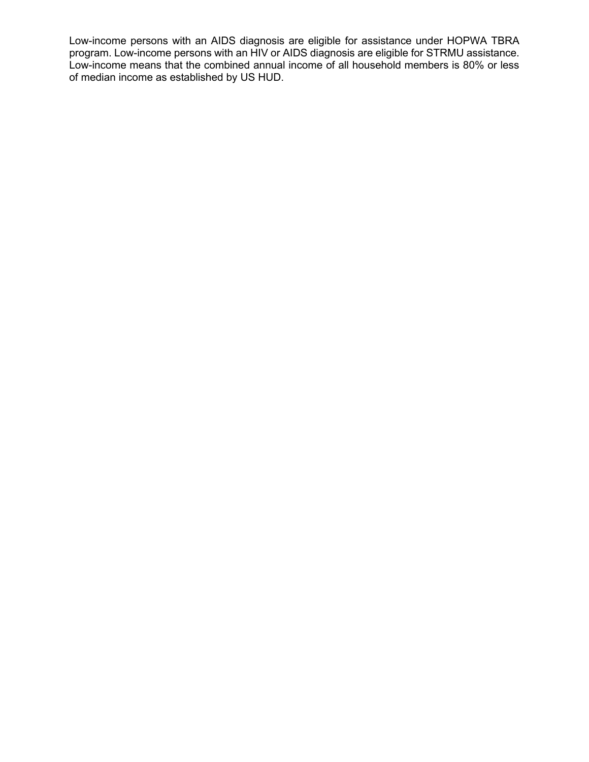Low-income persons with an AIDS diagnosis are eligible for assistance under HOPWA TBRA program. Low-income persons with an HIV or AIDS diagnosis are eligible for STRMU assistance. Low-income means that the combined annual income of all household members is 80% or less of median income as established by US HUD.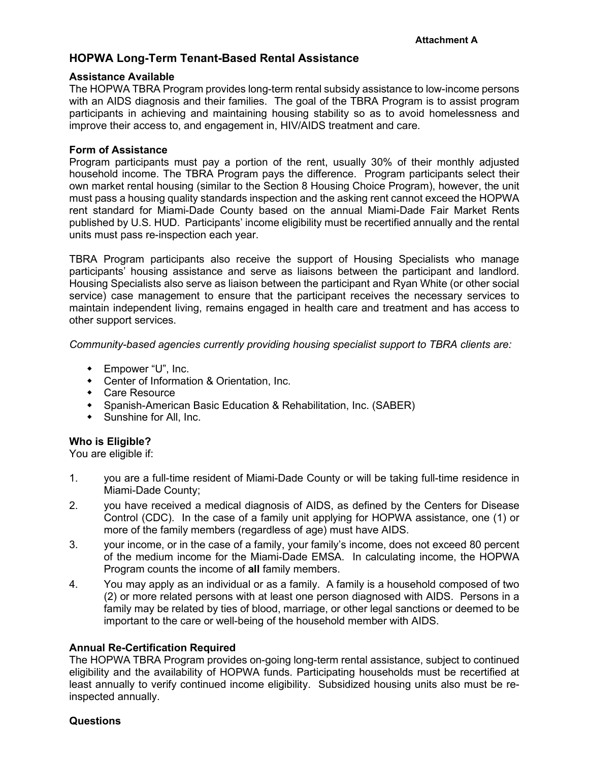### **HOPWA Long-Term Tenant-Based Rental Assistance**

#### **Assistance Available**

The HOPWA TBRA Program provides long-term rental subsidy assistance to low-income persons with an AIDS diagnosis and their families. The goal of the TBRA Program is to assist program participants in achieving and maintaining housing stability so as to avoid homelessness and improve their access to, and engagement in, HIV/AIDS treatment and care.

#### **Form of Assistance**

Program participants must pay a portion of the rent, usually 30% of their monthly adjusted household income. The TBRA Program pays the difference. Program participants select their own market rental housing (similar to the Section 8 Housing Choice Program), however, the unit must pass a housing quality standards inspection and the asking rent cannot exceed the HOPWA rent standard for Miami-Dade County based on the annual Miami-Dade Fair Market Rents published by U.S. HUD. Participants' income eligibility must be recertified annually and the rental units must pass re-inspection each year.

TBRA Program participants also receive the support of Housing Specialists who manage participants' housing assistance and serve as liaisons between the participant and landlord. Housing Specialists also serve as liaison between the participant and Ryan White (or other social service) case management to ensure that the participant receives the necessary services to maintain independent living, remains engaged in health care and treatment and has access to other support services.

*Community-based agencies currently providing housing specialist support to TBRA clients are:*

- ◆ Empower "U", Inc.
- Center of Information & Orientation, Inc.
- Care Resource
- Spanish-American Basic Education & Rehabilitation, Inc. (SABER)
- Sunshine for All, Inc.

#### **Who is Eligible?**

You are eligible if:

- 1. you are a full-time resident of Miami-Dade County or will be taking full-time residence in Miami-Dade County;
- 2. you have received a medical diagnosis of AIDS, as defined by the Centers for Disease Control (CDC). In the case of a family unit applying for HOPWA assistance, one (1) or more of the family members (regardless of age) must have AIDS.
- 3. your income, or in the case of a family, your family's income, does not exceed 80 percent of the medium income for the Miami-Dade EMSA. In calculating income, the HOPWA Program counts the income of **all** family members.
- 4. You may apply as an individual or as a family. A family is a household composed of two (2) or more related persons with at least one person diagnosed with AIDS. Persons in a family may be related by ties of blood, marriage, or other legal sanctions or deemed to be important to the care or well-being of the household member with AIDS.

#### **Annual Re-Certification Required**

The HOPWA TBRA Program provides on-going long-term rental assistance, subject to continued eligibility and the availability of HOPWA funds. Participating households must be recertified at least annually to verify continued income eligibility. Subsidized housing units also must be reinspected annually.

#### **Questions**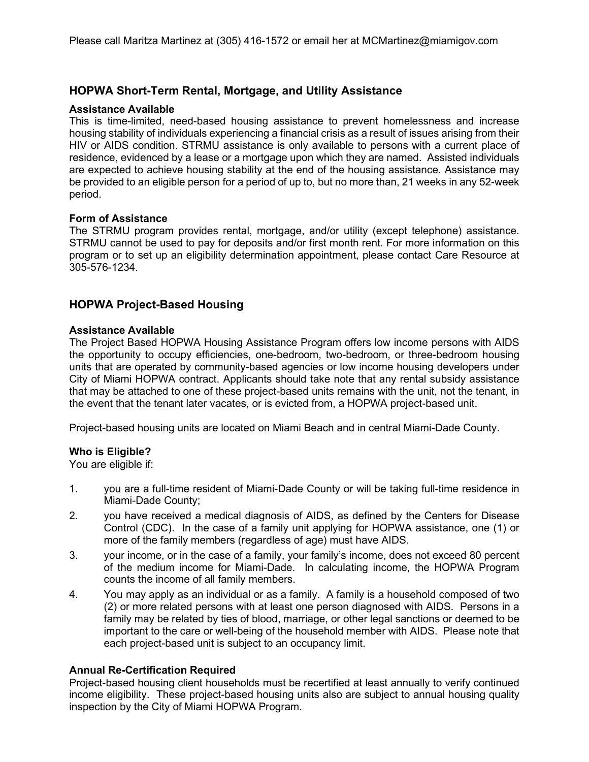## **HOPWA Short-Term Rental, Mortgage, and Utility Assistance**

#### **Assistance Available**

This is time-limited, need-based housing assistance to prevent homelessness and increase housing stability of individuals experiencing a financial crisis as a result of issues arising from their HIV or AIDS condition. STRMU assistance is only available to persons with a current place of residence, evidenced by a lease or a mortgage upon which they are named. Assisted individuals are expected to achieve housing stability at the end of the housing assistance. Assistance may be provided to an eligible person for a period of up to, but no more than, 21 weeks in any 52-week period.

#### **Form of Assistance**

The STRMU program provides rental, mortgage, and/or utility (except telephone) assistance. STRMU cannot be used to pay for deposits and/or first month rent. For more information on this program or to set up an eligibility determination appointment, please contact Care Resource at 305-576-1234.

## **HOPWA Project-Based Housing**

#### **Assistance Available**

The Project Based HOPWA Housing Assistance Program offers low income persons with AIDS the opportunity to occupy efficiencies, one-bedroom, two-bedroom, or three-bedroom housing units that are operated by community-based agencies or low income housing developers under City of Miami HOPWA contract. Applicants should take note that any rental subsidy assistance that may be attached to one of these project-based units remains with the unit, not the tenant, in the event that the tenant later vacates, or is evicted from, a HOPWA project-based unit.

Project-based housing units are located on Miami Beach and in central Miami-Dade County.

#### **Who is Eligible?**

You are eligible if:

- 1. you are a full-time resident of Miami-Dade County or will be taking full-time residence in Miami-Dade County;
- 2. you have received a medical diagnosis of AIDS, as defined by the Centers for Disease Control (CDC). In the case of a family unit applying for HOPWA assistance, one (1) or more of the family members (regardless of age) must have AIDS.
- 3. your income, or in the case of a family, your family's income, does not exceed 80 percent of the medium income for Miami-Dade. In calculating income, the HOPWA Program counts the income of all family members.
- 4. You may apply as an individual or as a family. A family is a household composed of two (2) or more related persons with at least one person diagnosed with AIDS. Persons in a family may be related by ties of blood, marriage, or other legal sanctions or deemed to be important to the care or well-being of the household member with AIDS. Please note that each project-based unit is subject to an occupancy limit.

#### **Annual Re-Certification Required**

Project-based housing client households must be recertified at least annually to verify continued income eligibility. These project-based housing units also are subject to annual housing quality inspection by the City of Miami HOPWA Program.